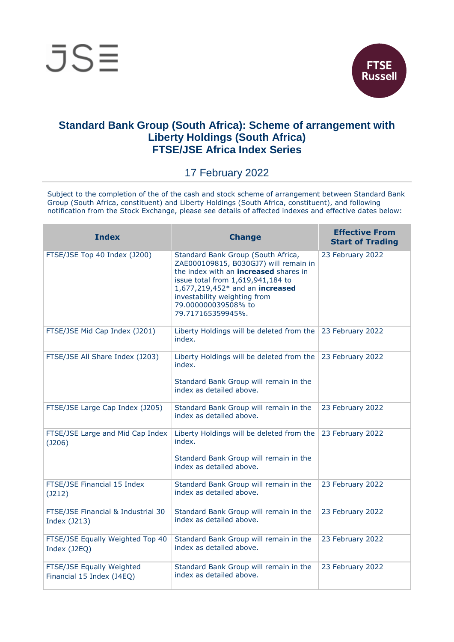



## **Standard Bank Group (South Africa): Scheme of arrangement with Liberty Holdings (South Africa) FTSE/JSE Africa Index Series**

17 February 2022

Subject to the completion of the of the cash and stock scheme of arrangement between Standard Bank Group (South Africa, constituent) and Liberty Holdings (South Africa, constituent), and following notification from the Stock Exchange, please see details of affected indexes and effective dates below:

| <b>Index</b>                                           | <b>Change</b>                                                                                                                                                                                                                                                                   | <b>Effective From</b><br><b>Start of Trading</b> |
|--------------------------------------------------------|---------------------------------------------------------------------------------------------------------------------------------------------------------------------------------------------------------------------------------------------------------------------------------|--------------------------------------------------|
| FTSE/JSE Top 40 Index (J200)                           | Standard Bank Group (South Africa,<br>ZAE000109815, B030GJ7) will remain in<br>the index with an <b>increased</b> shares in<br>issue total from 1,619,941,184 to<br>1,677,219,452* and an increased<br>investability weighting from<br>79.000000039508% to<br>79.717165359945%. | 23 February 2022                                 |
| FTSE/JSE Mid Cap Index (J201)                          | Liberty Holdings will be deleted from the<br>index.                                                                                                                                                                                                                             | 23 February 2022                                 |
| FTSE/JSE All Share Index (J203)                        | Liberty Holdings will be deleted from the<br>index.<br>Standard Bank Group will remain in the<br>index as detailed above.                                                                                                                                                       | 23 February 2022                                 |
| FTSE/JSE Large Cap Index (J205)                        | Standard Bank Group will remain in the<br>index as detailed above.                                                                                                                                                                                                              | 23 February 2022                                 |
| FTSE/JSE Large and Mid Cap Index<br>(J206)             | Liberty Holdings will be deleted from the<br>index.<br>Standard Bank Group will remain in the<br>index as detailed above.                                                                                                                                                       | 23 February 2022                                 |
| FTSE/JSE Financial 15 Index<br>(J212)                  | Standard Bank Group will remain in the<br>index as detailed above.                                                                                                                                                                                                              | 23 February 2022                                 |
| FTSE/JSE Financial & Industrial 30<br>Index (J213)     | Standard Bank Group will remain in the<br>index as detailed above.                                                                                                                                                                                                              | 23 February 2022                                 |
| FTSE/JSE Equally Weighted Top 40<br>Index (J2EQ)       | Standard Bank Group will remain in the<br>index as detailed above.                                                                                                                                                                                                              | 23 February 2022                                 |
| FTSE/JSE Equally Weighted<br>Financial 15 Index (J4EQ) | Standard Bank Group will remain in the<br>index as detailed above.                                                                                                                                                                                                              | 23 February 2022                                 |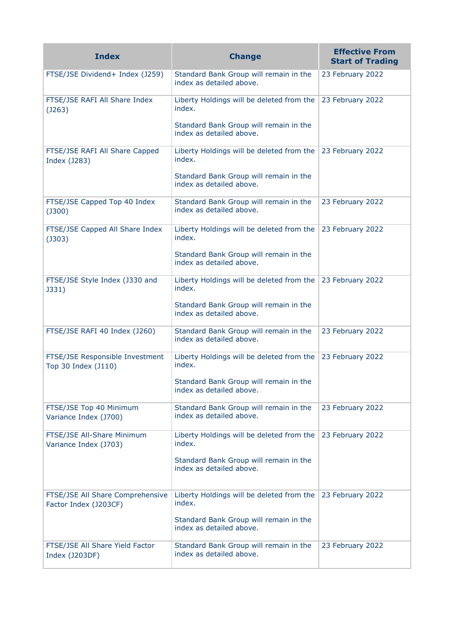| <b>Index</b>                                              | <b>Change</b>                                                      | <b>Effective From</b><br><b>Start of Trading</b> |
|-----------------------------------------------------------|--------------------------------------------------------------------|--------------------------------------------------|
| FTSE/JSE Dividend+ Index (J259)                           | Standard Bank Group will remain in the<br>index as detailed above. | 23 February 2022                                 |
| FTSE/JSE RAFI All Share Index<br>(J263)                   | Liberty Holdings will be deleted from the<br>index.                | 23 February 2022                                 |
|                                                           | Standard Bank Group will remain in the<br>index as detailed above. |                                                  |
| FTSE/JSE RAFI All Share Capped<br>Index (J283)            | Liberty Holdings will be deleted from the<br>index.                | 23 February 2022                                 |
|                                                           | Standard Bank Group will remain in the<br>index as detailed above. |                                                  |
| FTSE/JSE Capped Top 40 Index<br>$($ J300 $)$              | Standard Bank Group will remain in the<br>index as detailed above. | 23 February 2022                                 |
| FTSE/JSE Capped All Share Index<br>$($ J303 $)$           | Liberty Holdings will be deleted from the<br>index.                | 23 February 2022                                 |
|                                                           | Standard Bank Group will remain in the<br>index as detailed above. |                                                  |
| FTSE/JSE Style Index (J330 and<br>J331)                   | Liberty Holdings will be deleted from the<br>index.                | 23 February 2022                                 |
|                                                           | Standard Bank Group will remain in the<br>index as detailed above. |                                                  |
| FTSE/JSE RAFI 40 Index (J260)                             | Standard Bank Group will remain in the<br>index as detailed above. | 23 February 2022                                 |
| FTSE/JSE Responsible Investment<br>Top 30 Index (J110)    | Liberty Holdings will be deleted from the<br>index.                | 23 February 2022                                 |
|                                                           | Standard Bank Group will remain in the<br>index as detailed above. |                                                  |
| FTSE/JSE Top 40 Minimum<br>Variance Index (J700)          | Standard Bank Group will remain in the<br>index as detailed above. | 23 February 2022                                 |
| FTSE/JSE All-Share Minimum<br>Variance Index (J703)       | Liberty Holdings will be deleted from the<br>index.                | 23 February 2022                                 |
|                                                           | Standard Bank Group will remain in the<br>index as detailed above. |                                                  |
| FTSE/JSE All Share Comprehensive<br>Factor Index (J203CF) | Liberty Holdings will be deleted from the<br>index.                | 23 February 2022                                 |
|                                                           | Standard Bank Group will remain in the<br>index as detailed above. |                                                  |
| FTSE/JSE All Share Yield Factor<br>Index (J203DF)         | Standard Bank Group will remain in the<br>index as detailed above. | 23 February 2022                                 |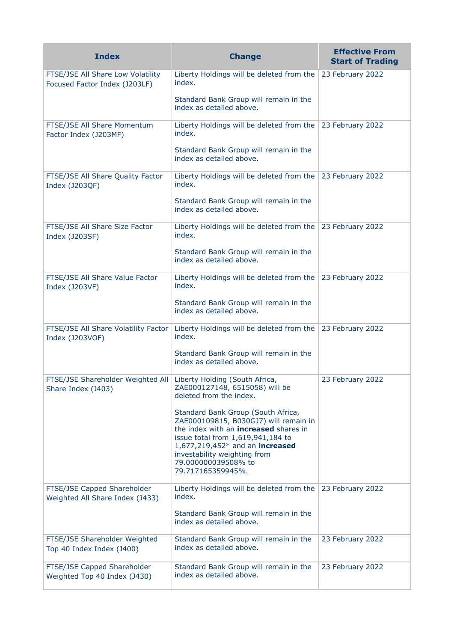| <b>Index</b>                                                                             | <b>Change</b>                                                                                                                                                                                                                                                                   | <b>Effective From</b><br><b>Start of Trading</b> |
|------------------------------------------------------------------------------------------|---------------------------------------------------------------------------------------------------------------------------------------------------------------------------------------------------------------------------------------------------------------------------------|--------------------------------------------------|
| FTSE/JSE All Share Low Volatility<br>Focused Factor Index (J203LF)                       | Liberty Holdings will be deleted from the<br>index.                                                                                                                                                                                                                             | 23 February 2022                                 |
|                                                                                          | Standard Bank Group will remain in the<br>index as detailed above.                                                                                                                                                                                                              |                                                  |
| FTSE/JSE All Share Momentum<br>Factor Index (J203MF)                                     | Liberty Holdings will be deleted from the<br>index.                                                                                                                                                                                                                             | 23 February 2022                                 |
|                                                                                          | Standard Bank Group will remain in the<br>index as detailed above.                                                                                                                                                                                                              |                                                  |
| FTSE/JSE All Share Quality Factor<br>Index (J203QF)                                      | Liberty Holdings will be deleted from the<br>index.                                                                                                                                                                                                                             | 23 February 2022                                 |
|                                                                                          | Standard Bank Group will remain in the<br>index as detailed above.                                                                                                                                                                                                              |                                                  |
| FTSE/JSE All Share Size Factor<br>Index (J203SF)                                         | Liberty Holdings will be deleted from the<br>index.                                                                                                                                                                                                                             | 23 February 2022                                 |
|                                                                                          | Standard Bank Group will remain in the<br>index as detailed above.                                                                                                                                                                                                              |                                                  |
| FTSE/JSE All Share Value Factor<br>Index (J203VF)                                        | Liberty Holdings will be deleted from the<br>index.                                                                                                                                                                                                                             | 23 February 2022                                 |
|                                                                                          | Standard Bank Group will remain in the<br>index as detailed above.                                                                                                                                                                                                              |                                                  |
| FTSE/JSE All Share Volatility Factor<br>Index (J203VOF)                                  | Liberty Holdings will be deleted from the<br>index.                                                                                                                                                                                                                             | 23 February 2022                                 |
|                                                                                          | Standard Bank Group will remain in the<br>index as detailed above.                                                                                                                                                                                                              |                                                  |
| FTSE/JSE Shareholder Weighted All   Liberty Holding (South Africa,<br>Share Index (J403) | ZAE000127148, 6515058) will be<br>deleted from the index.                                                                                                                                                                                                                       | 23 February 2022                                 |
|                                                                                          | Standard Bank Group (South Africa,<br>ZAE000109815, B030GJ7) will remain in<br>the index with an <b>increased</b> shares in<br>issue total from 1,619,941,184 to<br>1,677,219,452* and an increased<br>investability weighting from<br>79.000000039508% to<br>79.717165359945%. |                                                  |
| FTSE/JSE Capped Shareholder<br>Weighted All Share Index (J433)                           | Liberty Holdings will be deleted from the<br>index.                                                                                                                                                                                                                             | 23 February 2022                                 |
|                                                                                          | Standard Bank Group will remain in the<br>index as detailed above.                                                                                                                                                                                                              |                                                  |
| FTSE/JSE Shareholder Weighted<br>Top 40 Index Index (J400)                               | Standard Bank Group will remain in the<br>index as detailed above.                                                                                                                                                                                                              | 23 February 2022                                 |
| FTSE/JSE Capped Shareholder<br>Weighted Top 40 Index (J430)                              | Standard Bank Group will remain in the<br>index as detailed above.                                                                                                                                                                                                              | 23 February 2022                                 |